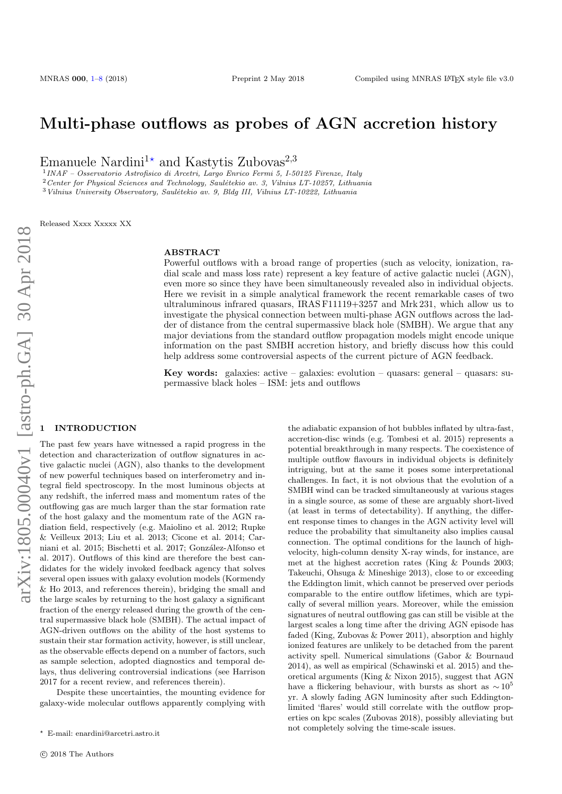# Multi-phase outflows as probes of AGN accretion history

Emanuele Nardini<sup>1\*</sup> and Kastytis Zubovas<sup>2,3</sup>

1 INAF – Osservatorio Astrofisico di Arcetri, Largo Enrico Fermi 5, I-50125 Firenze, Italy

<sup>2</sup>Center for Physical Sciences and Technology, Saulėtekio av. 3, Vilnius LT-10257, Lithuania

 $3$  Vilnius University Observatory, Saulėtekio av. 9, Bldg III, Vilnius LT-10222, Lithuania

Released Xxxx Xxxxx XX

#### ABSTRACT

Powerful outflows with a broad range of properties (such as velocity, ionization, radial scale and mass loss rate) represent a key feature of active galactic nuclei (AGN), even more so since they have been simultaneously revealed also in individual objects. Here we revisit in a simple analytical framework the recent remarkable cases of two ultraluminous infrared quasars, IRAS F11119+3257 and Mrk 231, which allow us to investigate the physical connection between multi-phase AGN outflows across the ladder of distance from the central supermassive black hole (SMBH). We argue that any major deviations from the standard outflow propagation models might encode unique information on the past SMBH accretion history, and briefly discuss how this could help address some controversial aspects of the current picture of AGN feedback.

**Key words:** galaxies: active – galaxies: evolution – quasars: general – quasars: supermassive black holes – ISM: jets and outflows

#### <span id="page-0-0"></span>**INTRODUCTION**

The past few years have witnessed a rapid progress in the detection and characterization of outflow signatures in active galactic nuclei (AGN), also thanks to the development of new powerful techniques based on interferometry and integral field spectroscopy. In the most luminous objects at any redshift, the inferred mass and momentum rates of the outflowing gas are much larger than the star formation rate of the host galaxy and the momentum rate of the AGN radiation field, respectively (e.g. Maiolino et al. 2012; Rupke & Veilleux 2013; Liu et al. 2013; Cicone et al. 2014; Carniani et al. 2015; Bischetti et al. 2017; González-Alfonso et al. 2017). Outflows of this kind are therefore the best candidates for the widely invoked feedback agency that solves several open issues with galaxy evolution models (Kormendy & Ho 2013, and references therein), bridging the small and the large scales by returning to the host galaxy a significant fraction of the energy released during the growth of the central supermassive black hole (SMBH). The actual impact of AGN-driven outflows on the ability of the host systems to sustain their star formation activity, however, is still unclear, as the observable effects depend on a number of factors, such as sample selection, adopted diagnostics and temporal delays, thus delivering controversial indications (see Harrison 2017 for a recent review, and references therein).

Despite these uncertainties, the mounting evidence for galaxy-wide molecular outflows apparently complying with

the adiabatic expansion of hot bubbles inflated by ultra-fast, accretion-disc winds (e.g. Tombesi et al. 2015) represents a potential breakthrough in many respects. The coexistence of multiple outflow flavours in individual objects is definitely intriguing, but at the same it poses some interpretational challenges. In fact, it is not obvious that the evolution of a SMBH wind can be tracked simultaneously at various stages in a single source, as some of these are arguably short-lived (at least in terms of detectability). If anything, the different response times to changes in the AGN activity level will reduce the probability that simultaneity also implies causal connection. The optimal conditions for the launch of highvelocity, high-column density X-ray winds, for instance, are met at the highest accretion rates (King & Pounds 2003; Takeuchi, Ohsuga & Mineshige 2013), close to or exceeding the Eddington limit, which cannot be preserved over periods comparable to the entire outflow lifetimes, which are typically of several million years. Moreover, while the emission signatures of neutral outflowing gas can still be visible at the largest scales a long time after the driving AGN episode has faded (King, Zubovas & Power 2011), absorption and highly ionized features are unlikely to be detached from the parent activity spell. Numerical simulations (Gabor & Bournaud 2014), as well as empirical (Schawinski et al. 2015) and theoretical arguments (King & Nixon 2015), suggest that AGN have a flickering behaviour, with bursts as short as  $\sim 10^5$ yr. A slowly fading AGN luminosity after such Eddingtonlimited 'flares' would still correlate with the outflow properties on kpc scales (Zubovas 2018), possibly alleviating but not completely solving the time-scale issues.

<sup>?</sup> E-mail: enardini@arcetri.astro.it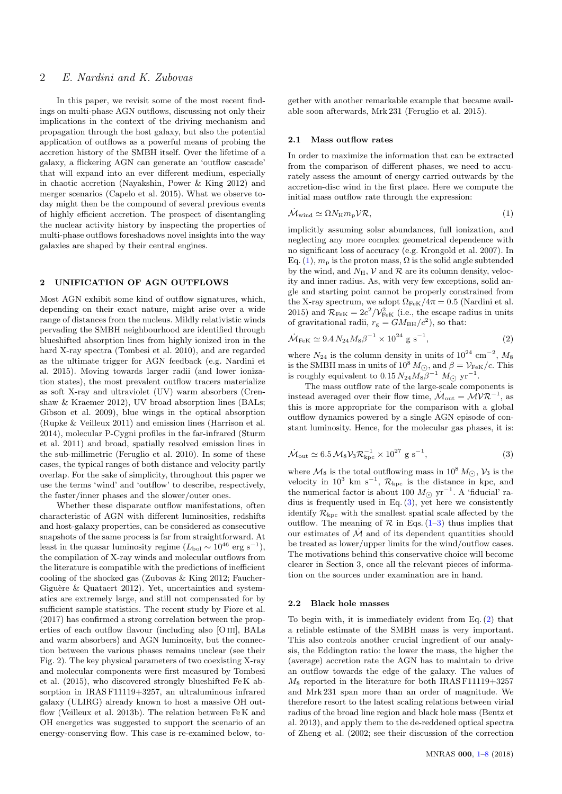# 2 E. Nardini and K. Zubovas

In this paper, we revisit some of the most recent findings on multi-phase AGN outflows, discussing not only their implications in the context of the driving mechanism and propagation through the host galaxy, but also the potential application of outflows as a powerful means of probing the accretion history of the SMBH itself. Over the lifetime of a galaxy, a flickering AGN can generate an 'outflow cascade' that will expand into an ever different medium, especially in chaotic accretion (Nayakshin, Power & King 2012) and merger scenarios (Capelo et al. 2015). What we observe today might then be the compound of several previous events of highly efficient accretion. The prospect of disentangling the nuclear activity history by inspecting the properties of multi-phase outflows foreshadows novel insights into the way galaxies are shaped by their central engines.

## 2 UNIFICATION OF AGN OUTFLOWS

Most AGN exhibit some kind of outflow signatures, which, depending on their exact nature, might arise over a wide range of distances from the nucleus. Mildly relativistic winds pervading the SMBH neighbourhood are identified through blueshifted absorption lines from highly ionized iron in the hard X-ray spectra (Tombesi et al. 2010), and are regarded as the ultimate trigger for AGN feedback (e.g. Nardini et al. 2015). Moving towards larger radii (and lower ionization states), the most prevalent outflow tracers materialize as soft X-ray and ultraviolet (UV) warm absorbers (Crenshaw & Kraemer 2012), UV broad absorption lines (BALs; Gibson et al. 2009), blue wings in the optical absorption (Rupke & Veilleux 2011) and emission lines (Harrison et al. 2014), molecular P-Cygni profiles in the far-infrared (Sturm et al. 2011) and broad, spatially resolved emission lines in the sub-millimetric (Feruglio et al. 2010). In some of these cases, the typical ranges of both distance and velocity partly overlap. For the sake of simplicity, throughout this paper we use the terms 'wind' and 'outflow' to describe, respectively, the faster/inner phases and the slower/outer ones.

Whether these disparate outflow manifestations, often characteristic of AGN with different luminosities, redshifts and host-galaxy properties, can be considered as consecutive snapshots of the same process is far from straightforward. At least in the quasar luminosity regime  $(L_{\text{bol}} \sim 10^{46} \text{ erg s}^{-1}),$ the compilation of X-ray winds and molecular outflows from the literature is compatible with the predictions of inefficient cooling of the shocked gas (Zubovas & King 2012; Faucher-Giguère & Quataert 2012). Yet, uncertainties and systematics are extremely large, and still not compensated for by sufficient sample statistics. The recent study by Fiore et al. (2017) has confirmed a strong correlation between the properties of each outflow flavour (including also [O iii], BALs and warm absorbers) and AGN luminosity, but the connection between the various phases remains unclear (see their Fig. 2). The key physical parameters of two coexisting X-ray and molecular components were first measured by Tombesi et al. (2015), who discovered strongly blueshifted Fe K absorption in IRAS F11119+3257, an ultraluminous infrared galaxy (ULIRG) already known to host a massive OH outflow (Veilleux et al. 2013b). The relation between Fe K and OH energetics was suggested to support the scenario of an energy-conserving flow. This case is re-examined below, together with another remarkable example that became available soon afterwards, Mrk 231 (Feruglio et al. 2015).

#### 2.1 Mass outflow rates

In order to maximize the information that can be extracted from the comparison of different phases, we need to accurately assess the amount of energy carried outwards by the accretion-disc wind in the first place. Here we compute the initial mass outflow rate through the expression:

<span id="page-1-0"></span>
$$
\dot{\mathcal{M}}_{\text{wind}} \simeq \Omega N_{\text{H}} m_{\text{p}} \mathcal{V} \mathcal{R},\tag{1}
$$

implicitly assuming solar abundances, full ionization, and neglecting any more complex geometrical dependence with no significant loss of accuracy (e.g. Krongold et al. 2007). In Eq. [\(1\)](#page-1-0),  $m_{\rm p}$  is the proton mass,  $\Omega$  is the solid angle subtended by the wind, and  $N_H$ ,  $\mathcal V$  and  $\mathcal R$  are its column density, velocity and inner radius. As, with very few exceptions, solid angle and starting point cannot be properly constrained from the X-ray spectrum, we adopt  $\Omega_{\text{FeK}}/4\pi = 0.5$  (Nardini et al. 2015) and  $\mathcal{R}_{\text{FeK}} = 2c^2/\mathcal{V}_{\text{FeK}}^2$  (i.e., the escape radius in units of gravitational radii,  $r_g = GM_{BH}/c^2$ , so that:

<span id="page-1-2"></span>
$$
\dot{\mathcal{M}}_{\text{FeK}} \simeq 9.4 \, N_{24} M_8 \beta^{-1} \times 10^{24} \, \text{g s}^{-1},\tag{2}
$$

where  $N_{24}$  is the column density in units of  $10^{24}$  cm<sup>-2</sup>,  $M_8$ is the SMBH mass in units of  $10^8 M_{\odot}$ , and  $\beta = \mathcal{V}_{\text{FeK}}/c$ . This is roughly equivalent to  $0.15 N_{24} M_8 \beta^{-1} M_{\odot}$  yr<sup>-1</sup>.

The mass outflow rate of the large-scale components is instead averaged over their flow time,  $\dot{M}_{\text{out}} = \mathcal{M} \mathcal{V} \mathcal{R}^{-1}$ , as this is more appropriate for the comparison with a global outflow dynamics powered by a single AGN episode of constant luminosity. Hence, for the molecular gas phases, it is:

<span id="page-1-1"></span>
$$
\dot{\mathcal{M}}_{\text{out}} \simeq 6.5 \,\mathcal{M}_8 \mathcal{V}_3 \mathcal{R}_{\text{kpc}}^{-1} \times 10^{27} \text{ g s}^{-1},\tag{3}
$$

where  $M_8$  is the total outflowing mass in 10<sup>8</sup>  $M_{\odot}$ ,  $V_3$  is the velocity in 10<sup>3</sup> km s<sup>-1</sup>,  $\mathcal{R}_{\text{kpc}}$  is the distance in kpc, and the numerical factor is about 100  $M_{\odot}$  yr<sup>-1</sup>. A 'fiducial' ra-<br>disc is faceworth used in  $\Gamma_{\rm R}$  (2) and here we consistent dius is frequently used in Eq.  $(3)$ , yet here we consistently identify  $\mathcal{R}_{\text{kpc}}$  with the smallest spatial scale affected by the outflow. The meaning of  $\mathcal R$  in Eqs. [\(1](#page-1-0)[–3\)](#page-1-1) thus implies that our estimates of  $\mathcal M$  and of its dependent quantities should be treated as lower/upper limits for the wind/outflow cases. The motivations behind this conservative choice will become clearer in Section 3, once all the relevant pieces of information on the sources under examination are in hand.

## 2.2 Black hole masses

To begin with, it is immediately evident from Eq. [\(2\)](#page-1-2) that a reliable estimate of the SMBH mass is very important. This also controls another crucial ingredient of our analysis, the Eddington ratio: the lower the mass, the higher the (average) accretion rate the AGN has to maintain to drive an outflow towards the edge of the galaxy. The values of  $M_8$  reported in the literature for both IRAS F11119+3257 and Mrk 231 span more than an order of magnitude. We therefore resort to the latest scaling relations between virial radius of the broad line region and black hole mass (Bentz et al. 2013), and apply them to the de-reddened optical spectra of Zheng et al. (2002; see their discussion of the correction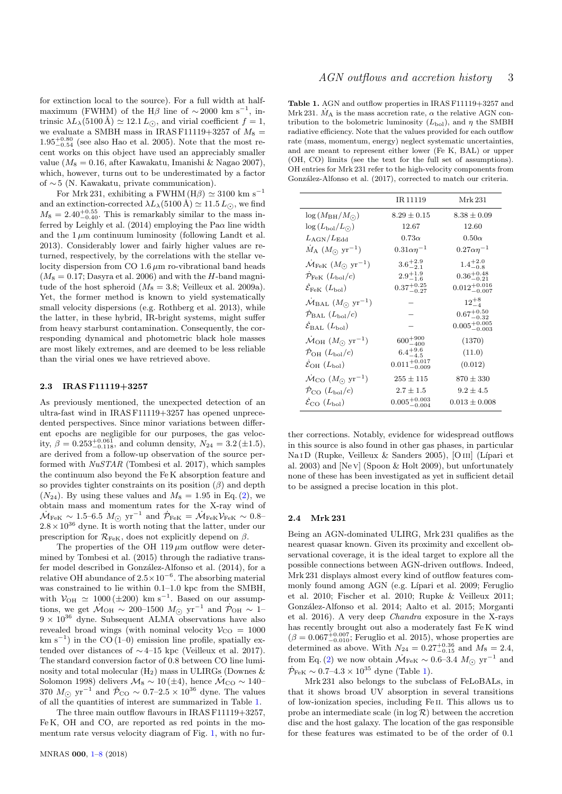for extinction local to the source). For a full width at halfmaximum (FWHM) of the H $\beta$  line of ~2000 km s<sup>-1</sup>, intrinsic  $\lambda L_{\lambda}$ (5100 Å)  $\simeq$  12.1  $L_{\odot}$ , and virial coefficient  $f = 1$ , we evaluate a SMBH mass in IRAS F11119+3257 of  $M_8$  =  $1.95^{+0.80}_{-0.54}$  (see also Hao et al. 2005). Note that the most recent works on this object have used an appreciably smaller value ( $M_8 = 0.16$ , after Kawakatu, Imanishi & Nagao 2007), which, however, turns out to be underestimated by a factor of ∼ 5 (N. Kawakatu, private communication).

For Mrk 231, exhibiting a FWHM (H $\beta$ )  $\simeq$  3100 km s<sup>-1</sup> and an extinction-corrected  $\lambda L_{\lambda}$ (5100 Å)  $\simeq$  11.5  $L_{\odot}$ , we find  $M_8 = 2.40^{+0.55}_{-0.40}$ . This is remarkably similar to the mass inferred by Leighly et al. (2014) employing the Pa $\alpha$  line width and the  $1 \mu m$  continuum luminosity (following Landt et al. 2013). Considerably lower and fairly higher values are returned, respectively, by the correlations with the stellar velocity dispersion from CO 1.6  $\mu$ m ro-vibrational band heads  $(M_8 = 0.17;$  Dasyra et al. 2006) and with the H-band magnitude of the host spheroid  $(M_8 = 3.8;$  Veilleux et al. 2009a). Yet, the former method is known to yield systematically small velocity dispersions (e.g. Rothberg et al. 2013), while the latter, in these hybrid, IR-bright systems, might suffer from heavy starburst contamination. Consequently, the corresponding dynamical and photometric black hole masses are most likely extremes, and are deemed to be less reliable than the virial ones we have retrieved above.

#### 2.3 IRAS F11119+3257

As previously mentioned, the unexpected detection of an ultra-fast wind in IRAS F11119+3257 has opened unprecedented perspectives. Since minor variations between different epochs are negligible for our purposes, the gas velocity,  $\beta = 0.253_{-0.118}^{+0.061}$ , and column density,  $N_{24} = 3.2 \, (\pm 1.5)$ , are derived from a follow-up observation of the source performed with NuSTAR (Tombesi et al. 2017), which samples the continuum also beyond the Fe K absorption feature and so provides tighter constraints on its position  $(\beta)$  and depth  $(N_{24})$ . By using these values and  $M_8 = 1.95$  in Eq. [\(2\)](#page-1-2), we obtain mass and momentum rates for the X-ray wind of  $\dot{M}_{\text{FeK}} \sim 1.5$ –6.5  $M_{\odot}$  yr<sup>-1</sup> and  $\dot{\mathcal{P}}_{\text{FeK}} = \dot{\mathcal{M}}_{\text{FeK}} \mathcal{V}_{\text{FeK}} \sim 0.8$ –  $2.8 \times 10^{36}$  dyne. It is worth noting that the latter, under our prescription for  $\mathcal{R}_{\text{FeK}}$ , does not explicitly depend on  $\beta$ .

The properties of the OH  $119 \mu m$  outflow were determined by Tombesi et al. (2015) through the radiative transfer model described in González-Alfonso et al. (2014), for a relative OH abundance of  $2.5 \times 10^{-6}$ . The absorbing material was constrained to lie within 0.1–1.0 kpc from the SMBH, with  $V_{\text{OH}} \simeq 1000 \, (\pm 200) \text{ km s}^{-1}$ . Based on our assumptions, we get  $\dot{M}_{\text{OH}} \sim 200^{-1500} M_{\odot} \text{ yr}^{-1}$  and  $\dot{P}_{\text{OH}} \sim 1$ –<br>0.  $\times 10^{36}$  does Seksement ALMA decomptions have also  $9 \times 10^{36}$  dyne. Subsequent ALMA observations have also revealed broad wings (with nominal velocity  $V_{\text{CO}} = 1000$  $km s^{-1}$ ) in the CO (1–0) emission line profile, spatially extended over distances of ∼ 4–15 kpc (Veilleux et al. 2017). The standard conversion factor of 0.8 between CO line luminosity and total molecular  $(H_2)$  mass in ULIRGs (Downes  $\&$ Solomon 1998) delivers  $\mathcal{M}_8 \sim 10 \, (\pm 4)$ , hence  $\dot{\mathcal{M}}_{\text{CO}} \sim 140$ 370  $M_{\odot}$  yr<sup>−1</sup> and  $\dot{\mathcal{P}}_{\text{CO}} \sim 0.7-2.5 \times 10^{36}$  dyne. The values of all the quantities of interest are summarized in Table [1.](#page-2-0)

The three main outflow flavours in IRAS F11119+3257, Fe K, OH and CO, are reported as red points in the momentum rate versus velocity diagram of Fig. [1,](#page-3-0) with no fur-

<span id="page-2-0"></span>Table 1. AGN and outflow properties in IRAS F11119+3257 and Mrk 231.  $\dot{M}_{\rm A}$  is the mass accretion rate,  $\alpha$  the relative AGN contribution to the bolometric luminosity  $(L_{\text{bol}})$ , and  $\eta$  the SMBH radiative efficiency. Note that the values provided for each outflow rate (mass, momentum, energy) neglect systematic uncertainties, and are meant to represent either lower (Fe K, BAL) or upper (OH, CO) limits (see the text for the full set of assumptions). OH entries for Mrk 231 refer to the high-velocity components from González-Alfonso et al. (2017), corrected to match our criteria.

|                                                       | IR 11119                  | Mrk 231                   |
|-------------------------------------------------------|---------------------------|---------------------------|
| $\log(M_{\rm BH}/M_{\odot})$                          | $8.29 \pm 0.15$           | $8.38 + 0.09$             |
| $\log\left(L_{\rm bol}/L_{\odot}\right)$              | 12.67                     | 12.60                     |
| $L_{\rm AGN}/L_{\rm Edd}$                             | $0.73\alpha$              | $0.50\alpha$              |
| $\dot{M}_{\rm A}$ $(M_{\odot}$ yr <sup>-1</sup> )     | $0.31\alpha\eta^{-1}$     | $0.27\alpha\eta^{-1}$     |
| $\dot{M}_{\rm FeK}$ $(M_{\odot}$ yr <sup>-1</sup> )   | $3.6^{+2.9}_{-2.1}$       | $1.4^{+2.0}_{-0.8}$       |
| $\mathcal{P}_{\text{Fek}}$ $(L_{\text{bol}}/c)$       | $2.9^{+1.9}_{-1.6}$       | $0.36_{-0.21}^{+0.48}$    |
| $\mathcal{E}_{\text{Fek}}(L_{\text{bol}})$            | $0.37^{+0.25}_{-0.27}$    | $0.012_{-0.007}^{+0.016}$ |
| $\dot{M}_{\rm BAL}$ ( $M_{\odot}$ yr <sup>-1</sup> )  |                           | $12^{+8}_{-4}$            |
| $\mathcal{P}_{\text{BAL}}(L_{\text{bol}}/c)$          |                           | $0.67^{+0.50}_{-0.32}$    |
| $\mathcal{E}_{\text{BAL}}\left(L_{\text{bol}}\right)$ |                           | $0.005^{+0.005}_{-0.003}$ |
| $\dot{M}_{\text{OH}}$ $(M_{\odot} \text{ yr}^{-1})$   | $600^{+900}_{-400}$       | (1370)                    |
| $\mathcal{P}_{\rm OH}(L_{\rm bol}/c)$                 | $6.4^{+9.6}_{-4.5}$       | (11.0)                    |
| $\mathcal{E}_{\rm OH}(L_{\rm bol})$                   | $0.011^{+0.017}_{-0.009}$ | (0.012)                   |
| $\dot{M}_{\rm CO}$ $(M_{\odot}~{\rm yr}^{-1})$        | $255 \pm 115$             | $870 \pm 330$             |
| $\mathcal{P}_{\rm CO}(L_{\rm bol}/c)$                 | $2.7 \pm 1.5$             | $9.2 + 4.5$               |
| $\mathcal{E}_{\text{CO}} (L_{\text{bol}})$            | $0.005^{+0.003}_{-0.004}$ | $0.013 + 0.008$           |

ther corrections. Notably, evidence for widespread outflows in this source is also found in other gas phases, in particular Na I D (Rupke, Veilleux & Sanders 2005), [O III] (Lípari et al. 2003) and [Ne v] (Spoon & Holt 2009), but unfortunately none of these has been investigated as yet in sufficient detail to be assigned a precise location in this plot.

#### 2.4 Mrk 231

Being an AGN-dominated ULIRG, Mrk 231 qualifies as the nearest quasar known. Given its proximity and excellent observational coverage, it is the ideal target to explore all the possible connections between AGN-driven outflows. Indeed, Mrk 231 displays almost every kind of outflow features commonly found among AGN (e.g. Lípari et al. 2009; Feruglio et al. 2010; Fischer et al. 2010; Rupke & Veilleux 2011; González-Alfonso et al. 2014; Aalto et al. 2015; Morganti et al. 2016). A very deep Chandra exposure in the X-rays has recently brought out also a moderately fast Fe K wind  $(\beta = 0.067_{-0.010}^{+0.007}$ ; Feruglio et al. 2015), whose properties are determined as above. With  $N_{24} = 0.27^{+0.36}_{-0.15}$  and  $M_8 = 2.4$ , from Eq. [\(2\)](#page-1-2) we now obtain  $\dot{M}_{\text{FeK}} \sim 0.6-3.4 M_{\odot} \text{ yr}^{-1}$  and  $\dot{\mathcal{P}}_{\text{FeK}} \sim 0.7 \text{--} 4.3 \times 10^{35} \text{ dyne (Table 1)}.$  $\dot{\mathcal{P}}_{\text{FeK}} \sim 0.7 \text{--} 4.3 \times 10^{35} \text{ dyne (Table 1)}.$  $\dot{\mathcal{P}}_{\text{FeK}} \sim 0.7 \text{--} 4.3 \times 10^{35} \text{ dyne (Table 1)}.$ 

Mrk 231 also belongs to the subclass of FeLoBALs, in that it shows broad UV absorption in several transitions of low-ionization species, including Fe ii. This allows us to probe an intermediate scale (in  $log R$ ) between the accretion disc and the host galaxy. The location of the gas responsible for these features was estimated to be of the order of 0.1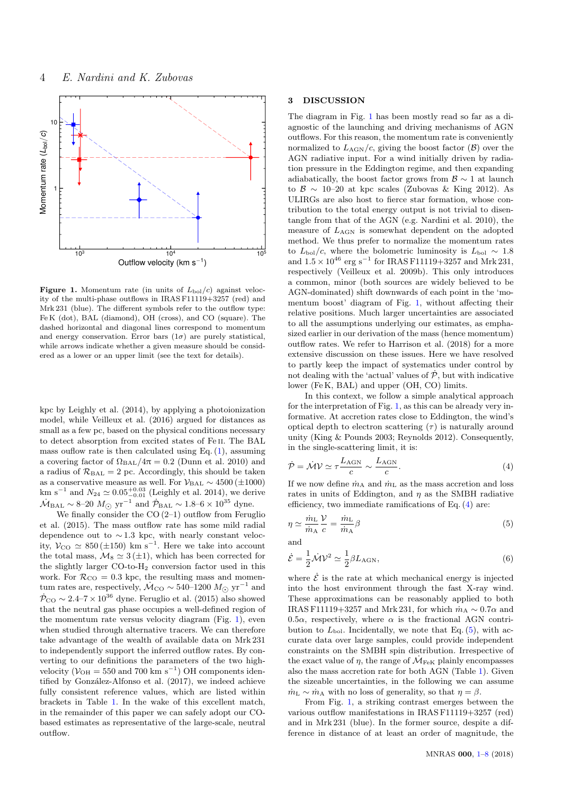

<span id="page-3-0"></span>Figure 1. Momentum rate (in units of  $L_{\text{bol}}/c$ ) against velocity of the multi-phase outflows in IRAS F11119+3257 (red) and Mrk 231 (blue). The different symbols refer to the outflow type: Fe K (dot), BAL (diamond), OH (cross), and CO (square). The dashed horizontal and diagonal lines correspond to momentum and energy conservation. Error bars  $(1\sigma)$  are purely statistical, while arrows indicate whether a given measure should be considered as a lower or an upper limit (see the text for details).

kpc by Leighly et al. (2014), by applying a photoionization model, while Veilleux et al. (2016) argued for distances as small as a few pc, based on the physical conditions necessary to detect absorption from excited states of Fe ii. The BAL mass ouflow rate is then calculated using Eq.  $(1)$ , assuming a covering factor of  $\Omega_{\text{BAL}}/4\pi = 0.2$  (Dunn et al. 2010) and a radius of  $\mathcal{R}_{BAL} = 2$  pc. Accordingly, this should be taken as a conservative measure as well. For  $\mathcal{V}_{\text{BAL}} \sim 4500 \, (\pm 1000)$ <br>km s<sup>-1</sup> and  $N_{24} \simeq 0.05_{-0.01}^{+0.03}$  (Leighly et al. 2014), we derive  $\dot{M}_{\text{BAL}} \sim 8-20 M_{\odot} \text{ yr}^{-1}$  and  $\dot{P}_{\text{BAL}} \sim 1.8-6 \times 10^{35} \text{ dyne.}$ 

We finally consider the  $CO(2-1)$  outflow from Feruglio et al. (2015). The mass outflow rate has some mild radial dependence out to ∼ 1.3 kpc, with nearly constant velocity,  $V_{\text{CO}} \simeq 850 \, (\pm 150) \, \text{ km s}^{-1}$ . Here we take into account the total mass,  $\mathcal{M}_8 \simeq 3 \, (\pm 1)$ , which has been corrected for the slightly larger  $CO$ -to- $H<sub>2</sub>$  conversion factor used in this work. For  $\mathcal{R}_{CO} = 0.3$  kpc, the resulting mass and momentum rates are, respectively,  $\dot{M}_{\rm CO} \sim 540$ –1200  $M_{\odot}$  yr<sup>-1</sup> and  $\overline{\mathcal{P}}_{\text{CO}} \sim 2.4$ –7 × 10<sup>36</sup> dyne. Feruglio et al. (2015) also showed that the neutral gas phase occupies a well-defined region of the momentum rate versus velocity diagram (Fig. [1\)](#page-3-0), even when studied through alternative tracers. We can therefore take advantage of the wealth of available data on Mrk 231 to independently support the inferred outflow rates. By converting to our definitions the parameters of the two highvelocity ( $V_{\text{OH}} = 550$  and 700 km s<sup>-1</sup>) OH components identified by González-Alfonso et al. (2017), we indeed achieve fully consistent reference values, which are listed within brackets in Table [1.](#page-2-0) In the wake of this excellent match, in the remainder of this paper we can safely adopt our CObased estimates as representative of the large-scale, neutral outflow.

#### 3 DISCUSSION

The diagram in Fig. [1](#page-3-0) has been mostly read so far as a diagnostic of the launching and driving mechanisms of AGN outflows. For this reason, the momentum rate is conveniently normalized to  $L_{\text{AGN}}/c$ , giving the boost factor  $(\beta)$  over the AGN radiative input. For a wind initially driven by radiation pressure in the Eddington regime, and then expanding adiabatically, the boost factor grows from  $\mathcal{B} \sim 1$  at launch to  $\beta \sim 10$ –20 at kpc scales (Zubovas & King 2012). As ULIRGs are also host to fierce star formation, whose contribution to the total energy output is not trivial to disentangle from that of the AGN (e.g. Nardini et al. 2010), the measure of  $L_{\text{AGN}}$  is somewhat dependent on the adopted method. We thus prefer to normalize the momentum rates to  $L_{\text{bol}}/c$ , where the bolometric luminosity is  $L_{\text{bol}} \sim 1.8$ and  $1.5 \times 10^{46}$  erg s<sup>-1</sup> for IRAS F11119+3257 and Mrk 231, respectively (Veilleux et al. 2009b). This only introduces a common, minor (both sources are widely believed to be AGN-dominated) shift downwards of each point in the 'momentum boost' diagram of Fig. [1,](#page-3-0) without affecting their relative positions. Much larger uncertainties are associated to all the assumptions underlying our estimates, as emphasized earlier in our derivation of the mass (hence momentum) outflow rates. We refer to Harrison et al. (2018) for a more extensive discussion on these issues. Here we have resolved to partly keep the impact of systematics under control by not dealing with the 'actual' values of  $\dot{\mathcal{P}}$ , but with indicative lower (Fe K, BAL) and upper (OH, CO) limits.

In this context, we follow a simple analytical approach for the interpretation of Fig. [1,](#page-3-0) as this can be already very informative. At accretion rates close to Eddington, the wind's optical depth to electron scattering  $(\tau)$  is naturally around unity (King & Pounds 2003; Reynolds 2012). Consequently, in the single-scattering limit, it is:

<span id="page-3-1"></span>
$$
\dot{\mathcal{P}} = \dot{\mathcal{M}} \mathcal{V} \simeq \tau \frac{L_{\text{AGN}}}{c} \sim \frac{L_{\text{AGN}}}{c}.
$$
\n(4)

If we now define  $\dot{m}_{\rm A}$  and  $\dot{m}_{\rm L}$  as the mass accretion and loss rates in units of Eddington, and  $\eta$  as the SMBH radiative efficiency, two immediate ramifications of Eq. [\(4\)](#page-3-1) are:

<span id="page-3-2"></span>
$$
\eta \simeq \frac{\dot{m}_{\rm L}}{\dot{m}_{\rm A}} \frac{\mathcal{V}}{c} = \frac{\dot{m}_{\rm L}}{\dot{m}_{\rm A}} \beta \tag{5}
$$

<span id="page-3-3"></span>and  
\n
$$
\dot{\mathcal{E}} = \frac{1}{2} \dot{\mathcal{M}} \mathcal{V}^2 \simeq \frac{1}{2} \beta L_{\text{AGN}},\tag{6}
$$

where  $\dot{\mathcal{E}}$  is the rate at which mechanical energy is injected into the host environment through the fast X-ray wind. These approximations can be reasonably applied to both IRAS F11119+3257 and Mrk 231, for which  $\dot{m}_A \sim 0.7\alpha$  and 0.5 $\alpha$ , respectively, where  $\alpha$  is the fractional AGN contribution to  $L_{\text{bol}}$ . Incidentally, we note that Eq. [\(5\)](#page-3-2), with accurate data over large samples, could provide independent constraints on the SMBH spin distribution. Irrespective of the exact value of  $\eta$ , the range of  $\mathcal{M}_{\text{FeK}}$  plainly encompasses also the mass accretion rate for both AGN (Table [1\)](#page-2-0). Given the sizeable uncertainties, in the following we can assume  $m<sub>L</sub> \sim m<sub>A</sub>$  with no loss of generality, so that  $\eta = \beta$ .

From Fig. [1,](#page-3-0) a striking contrast emerges between the various outflow manifestations in IRAS F11119+3257 (red) and in Mrk 231 (blue). In the former source, despite a difference in distance of at least an order of magnitude, the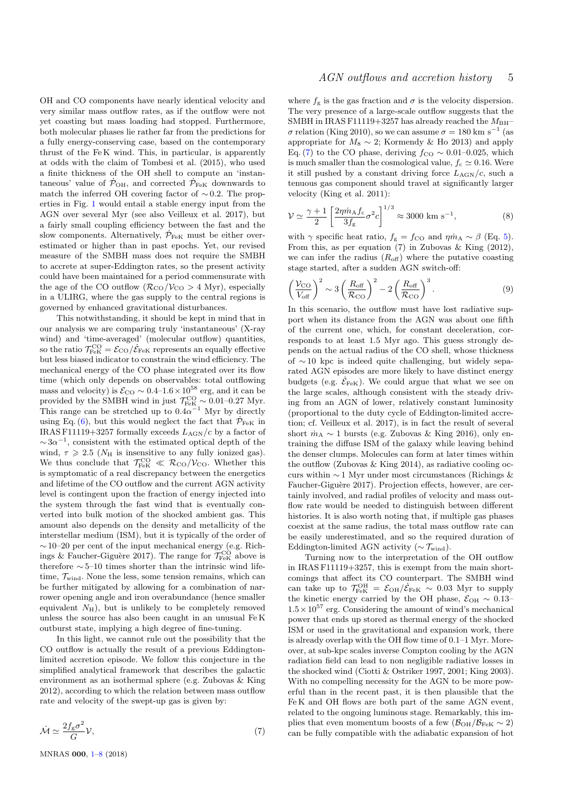OH and CO components have nearly identical velocity and very similar mass outflow rates, as if the outflow were not yet coasting but mass loading had stopped. Furthermore, both molecular phases lie rather far from the predictions for a fully energy-conserving case, based on the contemporary thrust of the Fe K wind. This, in particular, is apparently at odds with the claim of Tombesi et al. (2015), who used a finite thickness of the OH shell to compute an 'instantaneous' value of  $\dot{\mathcal{P}}_{\text{OH}}$ , and corrected  $\dot{\mathcal{P}}_{\text{FeK}}$  downwards to match the inferred OH covering factor of  $\sim$  0.2. The properties in Fig. [1](#page-3-0) would entail a stable energy input from the AGN over several Myr (see also Veilleux et al. 2017), but a fairly small coupling efficiency between the fast and the slow components. Alternatively,  $\dot{\mathcal{P}}_{\text{FeK}}$  must be either overestimated or higher than in past epochs. Yet, our revised measure of the SMBH mass does not require the SMBH to accrete at super-Eddington rates, so the present activity could have been maintained for a period commensurate with the age of the CO outflow  $(\mathcal{R}_{CO}/\mathcal{V}_{CO} > 4 \text{ Myr})$ , especially in a ULIRG, where the gas supply to the central regions is governed by enhanced gravitational disturbances.

This notwithstanding, it should be kept in mind that in our analysis we are comparing truly 'instantaneous' (X-ray wind) and 'time-averaged' (molecular outflow) quantities, so the ratio  $\mathcal{T}_{\text{FeK}}^{\text{CO}} = \mathcal{E}_{\text{CO}} / \mathcal{E}_{\text{FeK}}$  represents an equally effective but less biased indicator to constrain the wind efficiency. The mechanical energy of the CO phase integrated over its flow time (which only depends on observables: total outflowing mass and velocity) is  $\mathcal{E}_{\text{CO}} \sim 0.4$ –1.6 × 10<sup>58</sup> erg, and it can be provided by the SMBH wind in just  $\mathcal{T}_{\text{FeK}}^{\text{CO}} \sim 0.01{\text{-}}0.27 \text{ Myr}$ .<br>This range can be stretched up to  $0.4\alpha^{-1}$  Myr by directly using Eq. [\(6\)](#page-3-3), but this would neglect the fact that  $\dot{\mathcal{P}}_{\text{FeK}}$  in IRAS F11119+3257 formally exceeds  $L_{\rm AGN}/c$  by a factor of  $\sim 3\alpha^{-1}$ , consistent with the estimated optical depth of the wind,  $\tau \geq 2.5$  ( $N_{\text{H}}$  is insensitive to any fully ionized gas). We thus conclude that  $\mathcal{T}_{\text{FeK}}^{\text{CO}} \ll \mathcal{R}_{\text{CO}}/\mathcal{V}_{\text{CO}}$ . Whether this is symptomatic of a real discrepancy between the energetics and lifetime of the CO outflow and the current AGN activity level is contingent upon the fraction of energy injected into the system through the fast wind that is eventually converted into bulk motion of the shocked ambient gas. This amount also depends on the density and metallicity of the interstellar medium (ISM), but it is typically of the order of ∼ 10–20 per cent of the input mechanical energy (e.g. Richings & Faucher-Giguère 2017). The range for  $\mathcal{T}^{\text{CO}}_{\text{FeK}}$  above is therefore ∼ 5–10 times shorter than the intrinsic wind lifetime,  $\mathcal{T}_{wind}$ . None the less, some tension remains, which can be further mitigated by allowing for a combination of narrower opening angle and iron overabundance (hence smaller equivalent  $N_{\rm H}$ ), but is unlikely to be completely removed unless the source has also been caught in an unusual Fe K outburst state, implying a high degree of fine-tuning.

In this light, we cannot rule out the possibility that the CO outflow is actually the result of a previous Eddingtonlimited accretion episode. We follow this conjecture in the simplified analytical framework that describes the galactic environment as an isothermal sphere (e.g. Zubovas & King 2012), according to which the relation between mass outflow rate and velocity of the swept-up gas is given by:

$$
\dot{\mathcal{M}} \simeq \frac{2f_{\rm g}\sigma^2}{G} \mathcal{V},\tag{7}
$$

# AGN outflows and accretion history 5

where  $f_{\rm g}$  is the gas fraction and  $\sigma$  is the velocity dispersion. The very presence of a large-scale outflow suggests that the SMBH in IRAS F11119+3257 has already reached the  $M_{\rm BH}$ - $\sigma$  relation (King 2010), so we can assume  $\sigma = 180$  km s<sup>-1</sup> (as appropriate for  $M_8 \sim 2$ ; Kormendy & Ho 2013) and apply Eq. [\(7\)](#page-4-0) to the CO phase, deriving  $f_{\text{CO}} \sim 0.01-0.025$ , which is much smaller than the cosmological value,  $f_c \approx 0.16$ . Were it still pushed by a constant driving force  $L_{\text{AGN}}/c$ , such a tenuous gas component should travel at significantly larger velocity (King et al. 2011):

$$
\mathcal{V} \simeq \frac{\gamma + 1}{2} \left[ \frac{2\eta \dot{m}_{\rm A} f_{\rm c}}{3f_{\rm g}} \sigma^2 c \right]^{1/3} \approx 3000 \text{ km s}^{-1},\tag{8}
$$

with  $\gamma$  specific heat ratio,  $f_{\rm g} = f_{\rm CO}$  and  $\eta \dot{m}_{\rm A} \sim \beta$  (Eq. [5\)](#page-3-2). From this, as per equation (7) in Zubovas & King (2012), we can infer the radius  $(R_{\text{off}})$  where the putative coasting stage started, after a sudden AGN switch-off:

$$
\left(\frac{\mathcal{V}_{\text{CO}}}{V_{\text{off}}}\right)^2 \sim 3 \left(\frac{R_{\text{off}}}{\mathcal{R}_{\text{CO}}}\right)^2 - 2 \left(\frac{R_{\text{off}}}{\mathcal{R}_{\text{CO}}}\right)^3. \tag{9}
$$

In this scenario, the outflow must have lost radiative support when its distance from the AGN was about one fifth of the current one, which, for constant deceleration, corresponds to at least 1.5 Myr ago. This guess strongly depends on the actual radius of the CO shell, whose thickness of ∼ 10 kpc is indeed quite challenging, but widely separated AGN episodes are more likely to have distinct energy budgets (e.g.  $\dot{\mathcal{E}}_{\text{FeK}}$ ). We could argue that what we see on the large scales, although consistent with the steady driving from an AGN of lower, relatively constant luminosity (proportional to the duty cycle of Eddington-limited accretion; cf. Veilleux et al. 2017), is in fact the result of several short  $\dot{m}_{A} \sim 1$  bursts (e.g. Zubovas & King 2016), only entraining the diffuse ISM of the galaxy while leaving behind the denser clumps. Molecules can form at later times within the outflow (Zubovas & King 2014), as radiative cooling occurs within ∼ 1 Myr under most circumstances (Richings & Faucher-Giguère 2017). Projection effects, however, are certainly involved, and radial profiles of velocity and mass outflow rate would be needed to distinguish between different histories. It is also worth noting that, if multiple gas phases coexist at the same radius, the total mass outflow rate can be easily underestimated, and so the required duration of Eddington-limited AGN activity ( $\sim \mathcal{T}_{wind}$ ).

<span id="page-4-0"></span>Turning now to the interpretation of the OH outflow in IRAS F11119+3257, this is exempt from the main shortcomings that affect its CO counterpart. The SMBH wind can take up to  $\mathcal{T}_{\text{FeK}}^{\text{OH}} = \mathcal{E}_{\text{OH}} / \dot{\mathcal{E}}_{\text{FeK}} \sim 0.03$  Myr to supply the kinetic energy carried by the OH phase,  $\mathcal{E}_{\text{OH}} \sim 0.13 1.5 \times 10^{57}$  erg. Considering the amount of wind's mechanical power that ends up stored as thermal energy of the shocked ISM or used in the gravitational and expansion work, there is already overlap with the OH flow time of 0.1–1 Myr. Moreover, at sub-kpc scales inverse Compton cooling by the AGN radiation field can lead to non negligible radiative losses in the shocked wind (Ciotti & Ostriker 1997, 2001; King 2003). With no compelling necessity for the AGN to be more powerful than in the recent past, it is then plausible that the Fe K and OH flows are both part of the same AGN event, related to the ongoing luminous stage. Remarkably, this implies that even momentum boosts of a few  $(\mathcal{B}_{OH}/\mathcal{B}_{FeK} \sim 2)$ can be fully compatible with the adiabatic expansion of hot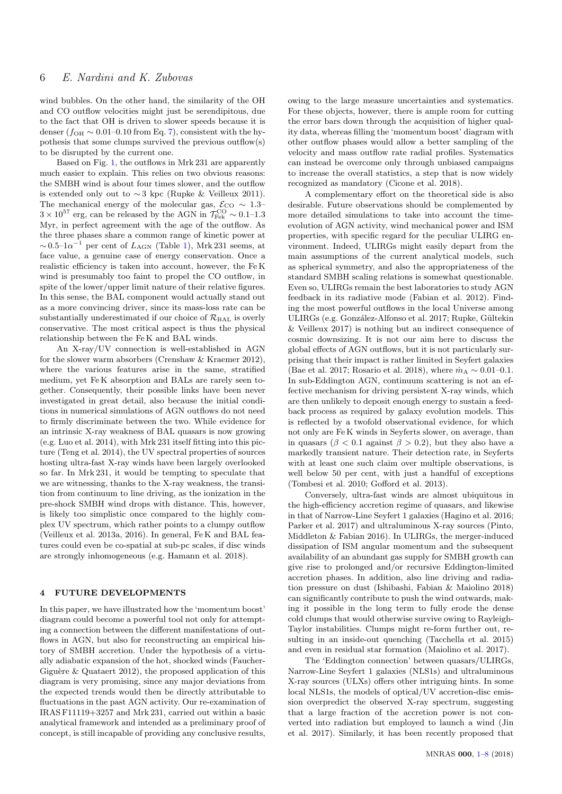wind bubbles. On the other hand, the similarity of the OH and CO outflow velocities might just be serendipitous, due to the fact that OH is driven to slower speeds because it is denser ( $f_{\text{OH}} \sim 0.01{\text{-}}0.10$  from Eq. [7\)](#page-4-0), consistent with the hypothesis that some clumps survived the previous outflow(s) to be disrupted by the current one.

Based on Fig. [1,](#page-3-0) the outflows in Mrk 231 are apparently much easier to explain. This relies on two obvious reasons: the SMBH wind is about four times slower, and the outflow is extended only out to  $\sim$  3 kpc (Rupke & Veilleux 2011). The mechanical energy of the molecular gas,  $\mathcal{E}_{\text{CO}} \sim 1.3 3 \times 10^{57}$  erg, can be released by the AGN in  $\mathcal{T}_{\text{Fek}}^{\text{CO}} \sim 0.1$ -1.3 Myr, in perfect agreement with the age of the outflow. As the three phases share a common range of kinetic power at  $\sim 0.5$ -1 $\alpha^{-1}$  per cent of  $L_{\rm AGN}$  (Table [1\)](#page-2-0), Mrk 231 seems, at face value, a genuine case of energy conservation. Once a realistic efficiency is taken into account, however, the Fe K wind is presumably too faint to propel the CO outflow, in spite of the lower/upper limit nature of their relative figures. In this sense, the BAL component would actually stand out as a more convincing driver, since its mass-loss rate can be substantially underestimated if our choice of  $\mathcal{R}_{BAL}$  is overly conservative. The most critical aspect is thus the physical relationship between the Fe K and BAL winds.

An X-ray/UV connection is well-established in AGN for the slower warm absorbers (Crenshaw & Kraemer 2012), where the various features arise in the same, stratified medium, yet Fe K absorption and BALs are rarely seen together. Consequently, their possible links have been never investigated in great detail, also because the initial conditions in numerical simulations of AGN outflows do not need to firmly discriminate between the two. While evidence for an intrinsic X-ray weakness of BAL quasars is now growing (e.g. Luo et al. 2014), with Mrk 231 itself fitting into this picture (Teng et al. 2014), the UV spectral properties of sources hosting ultra-fast X-ray winds have been largely overlooked so far. In Mrk 231, it would be tempting to speculate that we are witnessing, thanks to the X-ray weakness, the transition from continuum to line driving, as the ionization in the pre-shock SMBH wind drops with distance. This, however, is likely too simplistic once compared to the highly complex UV spectrum, which rather points to a clumpy outflow (Veilleux et al. 2013a, 2016). In general, Fe K and BAL features could even be co-spatial at sub-pc scales, if disc winds are strongly inhomogeneous (e.g. Hamann et al. 2018).

# <span id="page-5-0"></span>4 FUTURE DEVELOPMENTS

In this paper, we have illustrated how the 'momentum boost' diagram could become a powerful tool not only for attempting a connection between the different manifestations of outflows in AGN, but also for reconstructing an empirical history of SMBH accretion. Under the hypothesis of a virtually adiabatic expansion of the hot, shocked winds (Faucher-Giguère & Quataert 2012), the proposed application of this diagram is very promising, since any major deviations from the expected trends would then be directly attributable to fluctuations in the past AGN activity. Our re-examination of IRAS F11119+3257 and Mrk 231, carried out within a basic analytical framework and intended as a preliminary proof of concept, is still incapable of providing any conclusive results,

owing to the large measure uncertainties and systematics. For these objects, however, there is ample room for cutting the error bars down through the acquisition of higher quality data, whereas filling the 'momentum boost' diagram with other outflow phases would allow a better sampling of the velocity and mass outflow rate radial profiles. Systematics can instead be overcome only through unbiased campaigns to increase the overall statistics, a step that is now widely recognized as mandatory (Cicone et al. 2018).

A complementary effort on the theoretical side is also desirable. Future observations should be complemented by more detailed simulations to take into account the timeevolution of AGN activity, wind mechanical power and ISM properties, with specific regard for the peculiar ULIRG environment. Indeed, ULIRGs might easily depart from the main assumptions of the current analytical models, such as spherical symmetry, and also the appropriateness of the standard SMBH scaling relations is somewhat questionable. Even so, ULIRGs remain the best laboratories to study AGN feedback in its radiative mode (Fabian et al. 2012). Finding the most powerful outflows in the local Universe among ULIRGs (e.g. González-Alfonso et al. 2017; Rupke, Gültekin & Veilleux 2017) is nothing but an indirect consequence of cosmic downsizing. It is not our aim here to discuss the global effects of AGN outflows, but it is not particularly surprising that their impact is rather limited in Seyfert galaxies (Bae et al. 2017; Rosario et al. 2018), where  $\dot{m}_{A} \sim 0.01-0.1$ . In sub-Eddington AGN, continuum scattering is not an effective mechanism for driving persistent X-ray winds, which are then unlikely to deposit enough energy to sustain a feedback process as required by galaxy evolution models. This is reflected by a twofold observational evidence, for which not only are Fe K winds in Seyferts slower, on average, than in quasars ( $\beta$  < 0.1 against  $\beta$  > 0.2), but they also have a markedly transient nature. Their detection rate, in Seyferts with at least one such claim over multiple observations, is well below 50 per cent, with just a handful of exceptions (Tombesi et al. 2010; Gofford et al. 2013).

Conversely, ultra-fast winds are almost ubiquitous in the high-efficiency accretion regime of quasars, and likewise in that of Narrow-Line Seyfert 1 galaxies (Hagino et al. 2016; Parker et al. 2017) and ultraluminous X-ray sources (Pinto, Middleton & Fabian 2016). In ULIRGs, the merger-induced dissipation of ISM angular momentum and the subsequent availability of an abundant gas supply for SMBH growth can give rise to prolonged and/or recursive Eddington-limited accretion phases. In addition, also line driving and radiation pressure on dust (Ishibashi, Fabian & Maiolino 2018) can significantly contribute to push the wind outwards, making it possible in the long term to fully erode the dense cold clumps that would otherwise survive owing to Rayleigh-Taylor instabilities. Clumps might re-form further out, resulting in an inside-out quenching (Tacchella et al. 2015) and even in residual star formation (Maiolino et al. 2017).

The 'Eddington connection' between quasars/ULIRGs, Narrow-Line Seyfert 1 galaxies (NLS1s) and ultraluminous X-ray sources (ULXs) offers other intriguing hints. In some local NLS1s, the models of optical/UV accretion-disc emission overpredict the observed X-ray spectrum, suggesting that a large fraction of the accretion power is not converted into radiation but employed to launch a wind (Jin et al. 2017). Similarly, it has been recently proposed that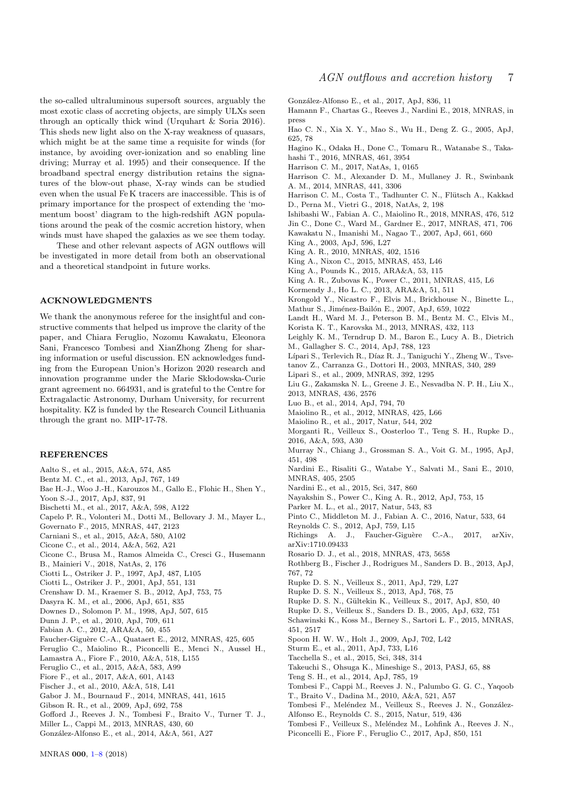the so-called ultraluminous supersoft sources, arguably the most exotic class of accreting objects, are simply ULXs seen through an optically thick wind (Urquhart & Soria 2016). This sheds new light also on the X-ray weakness of quasars, which might be at the same time a requisite for winds (for instance, by avoiding over-ionization and so enabling line driving; Murray et al. 1995) and their consequence. If the broadband spectral energy distribution retains the signatures of the blow-out phase, X-ray winds can be studied even when the usual Fe K tracers are inaccessible. This is of primary importance for the prospect of extending the 'momentum boost' diagram to the high-redshift AGN populations around the peak of the cosmic accretion history, when winds must have shaped the galaxies as we see them today.

These and other relevant aspects of AGN outflows will be investigated in more detail from both an observational and a theoretical standpoint in future works.

#### ACKNOWLEDGMENTS

We thank the anonymous referee for the insightful and constructive comments that helped us improve the clarity of the paper, and Chiara Feruglio, Nozomu Kawakatu, Eleonora Sani, Francesco Tombesi and XianZhong Zheng for sharing information or useful discussion. EN acknowledges funding from the European Union's Horizon 2020 research and innovation programme under the Marie Skłodowska-Curie grant agreement no. 664931, and is grateful to the Centre for Extragalactic Astronomy, Durham University, for recurrent hospitality. KZ is funded by the Research Council Lithuania through the grant no. MIP-17-78.

#### REFERENCES

- Aalto S., et al., 2015, A&A, 574, A85
- Bentz M. C., et al., 2013, ApJ, 767, 149
- Bae H.-J., Woo J.-H., Karouzos M., Gallo E., Flohic H., Shen Y.,
- Yoon S.-J., 2017, ApJ, 837, 91
- Bischetti M., et al., 2017, A&A, 598, A122
- Capelo P. R., Volonteri M., Dotti M., Bellovary J. M., Mayer L.,
- Governato F., 2015, MNRAS, 447, 2123
- Carniani S., et al., 2015, A&A, 580, A102
- Cicone C., et al., 2014, A&A, 562, A21
- Cicone C., Brusa M., Ramos Almeida C., Cresci G., Husemann B., Mainieri V., 2018, NatAs, 2, 176
- 
- Ciotti L., Ostriker J. P., 1997, ApJ, 487, L105 Ciotti L., Ostriker J. P., 2001, ApJ, 551, 131
- Crenshaw D. M., Kraemer S. B., 2012, ApJ, 753, 75
- Dasyra K. M., et al., 2006, ApJ, 651, 835
- Downes D., Solomon P. M., 1998, ApJ, 507, 615
- Dunn J. P., et al., 2010, ApJ, 709, 611
- Fabian A. C., 2012, ARA&A, 50, 455
- Faucher-Giguère C.-A., Quataert E., 2012, MNRAS, 425, 605
- Feruglio C., Maiolino R., Piconcelli E., Menci N., Aussel H.,
- Lamastra A., Fiore F., 2010, A&A, 518, L155
- Feruglio C., et al., 2015, A&A, 583, A99
- Fiore F., et al., 2017, A&A, 601, A143
- Fischer J., et al., 2010, A&A, 518, L41
- Gabor J. M., Bournaud F., 2014, MNRAS, 441, 1615
- Gibson R. R., et al., 2009, ApJ, 692, 758
- Gofford J., Reeves J. N., Tombesi F., Braito V., Turner T. J., Miller L., Cappi M., 2013, MNRAS, 430, 60
- Gonz´alez-Alfonso E., et al., 2014, A&A, 561, A27

Gonz´alez-Alfonso E., et al., 2017, ApJ, 836, 11

- Hamann F., Chartas G., Reeves J., Nardini E., 2018, MNRAS, in press
- Hao C. N., Xia X. Y., Mao S., Wu H., Deng Z. G., 2005, ApJ, 625, 78
- Hagino K., Odaka H., Done C., Tomaru R., Watanabe S., Takahashi T., 2016, MNRAS, 461, 3954
- Harrison C. M., 2017, NatAs, 1, 0165
- Harrison C. M., Alexander D. M., Mullaney J. R., Swinbank A. M., 2014, MNRAS, 441, 3306
- Harrison C. M., Costa T., Tadhunter C. N., Flütsch A., Kakkad D., Perna M., Vietri G., 2018, NatAs, 2, 198
- Ishibashi W., Fabian A. C., Maiolino R., 2018, MNRAS, 476, 512
- Jin C., Done C., Ward M., Gardner E., 2017, MNRAS, 471, 706
- Kawakatu N., Imanishi M., Nagao T., 2007, ApJ, 661, 660
- King A., 2003, ApJ, 596, L27
- King A. R., 2010, MNRAS, 402, 1516
- King A., Nixon C., 2015, MNRAS, 453, L46
- King A., Pounds K., 2015, ARA&A, 53, 115
- King A. R., Zubovas K., Power C., 2011, MNRAS, 415, L6
- Kormendy J., Ho L. C., 2013, ARA&A, 51, 511
- Krongold Y., Nicastro F., Elvis M., Brickhouse N., Binette L.,
- Mathur S., Jiménez-Bailón E., 2007, ApJ, 659, 1022
- Landt H., Ward M. J., Peterson B. M., Bentz M. C., Elvis M., Korista K. T., Karovska M., 2013, MNRAS, 432, 113
- Leighly K. M., Terndrup D. M., Baron E., Lucy A. B., Dietrich M., Gallagher S. C., 2014, ApJ, 788, 123
- Lípari S., Terlevich R., Díaz R. J., Taniguchi Y., Zheng W., Tsve-

tanov Z., Carranza G., Dottori H., 2003, MNRAS, 340, 289

- Lipari S., et al., 2009, MNRAS, 392, 1295
- Liu G., Zakamska N. L., Greene J. E., Nesvadba N. P. H., Liu X., 2013, MNRAS, 436, 2576
- Luo B., et al., 2014, ApJ, 794, 70
- Maiolino R., et al., 2012, MNRAS, 425, L66
- Maiolino R., et al., 2017, Natur, 544, 202
- Morganti R., Veilleux S., Oosterloo T., Teng S. H., Rupke D., 2016, A&A, 593, A30
- Murray N., Chiang J., Grossman S. A., Voit G. M., 1995, ApJ, 451, 498
- Nardini E., Risaliti G., Watabe Y., Salvati M., Sani E., 2010, MNRAS, 405, 2505
- Nardini E., et al., 2015, Sci, 347, 860
- Nayakshin S., Power C., King A. R., 2012, ApJ, 753, 15
- Parker M. L., et al., 2017, Natur, 543, 83
- Pinto C., Middleton M. J., Fabian A. C., 2016, Natur, 533, 64
- Reynolds C. S., 2012, ApJ, 759, L15
- Richings A. J., Faucher-Giguère C.-A., 2017, arXiv, arXiv:1710.09433
- Rosario D. J., et al., 2018, MNRAS, 473, 5658
- Rothberg B., Fischer J., Rodrigues M., Sanders D. B., 2013, ApJ, 767, 72
- Rupke D. S. N., Veilleux S., 2011, ApJ, 729, L27
- Rupke D. S. N., Veilleux S., 2013, ApJ, 768, 75
- Rupke D. S. N., Gültekin K., Veilleux S., 2017, ApJ, 850, 40
- Rupke D. S., Veilleux S., Sanders D. B., 2005, ApJ, 632, 751
- Schawinski K., Koss M., Berney S., Sartori L. F., 2015, MNRAS, 451, 2517
- Spoon H. W. W., Holt J., 2009, ApJ, 702, L42
- Sturm E., et al., 2011, ApJ, 733, L16
- Tacchella S., et al., 2015, Sci, 348, 314
- Takeuchi S., Ohsuga K., Mineshige S., 2013, PASJ, 65, 88
- Teng S. H., et al., 2014, ApJ, 785, 19
- Tombesi F., Cappi M., Reeves J. N., Palumbo G. G. C., Yaqoob T., Braito V., Dadina M., 2010, A&A, 521, A57
- 
- Tombesi F., Meléndez M., Veilleux S., Reeves J. N., González-Alfonso E., Reynolds C. S., 2015, Natur, 519, 436
- Tombesi F., Veilleux S., Meléndez M., Lohfink A., Reeves J. N.,
- Piconcelli E., Fiore F., Feruglio C., 2017, ApJ, 850, 151